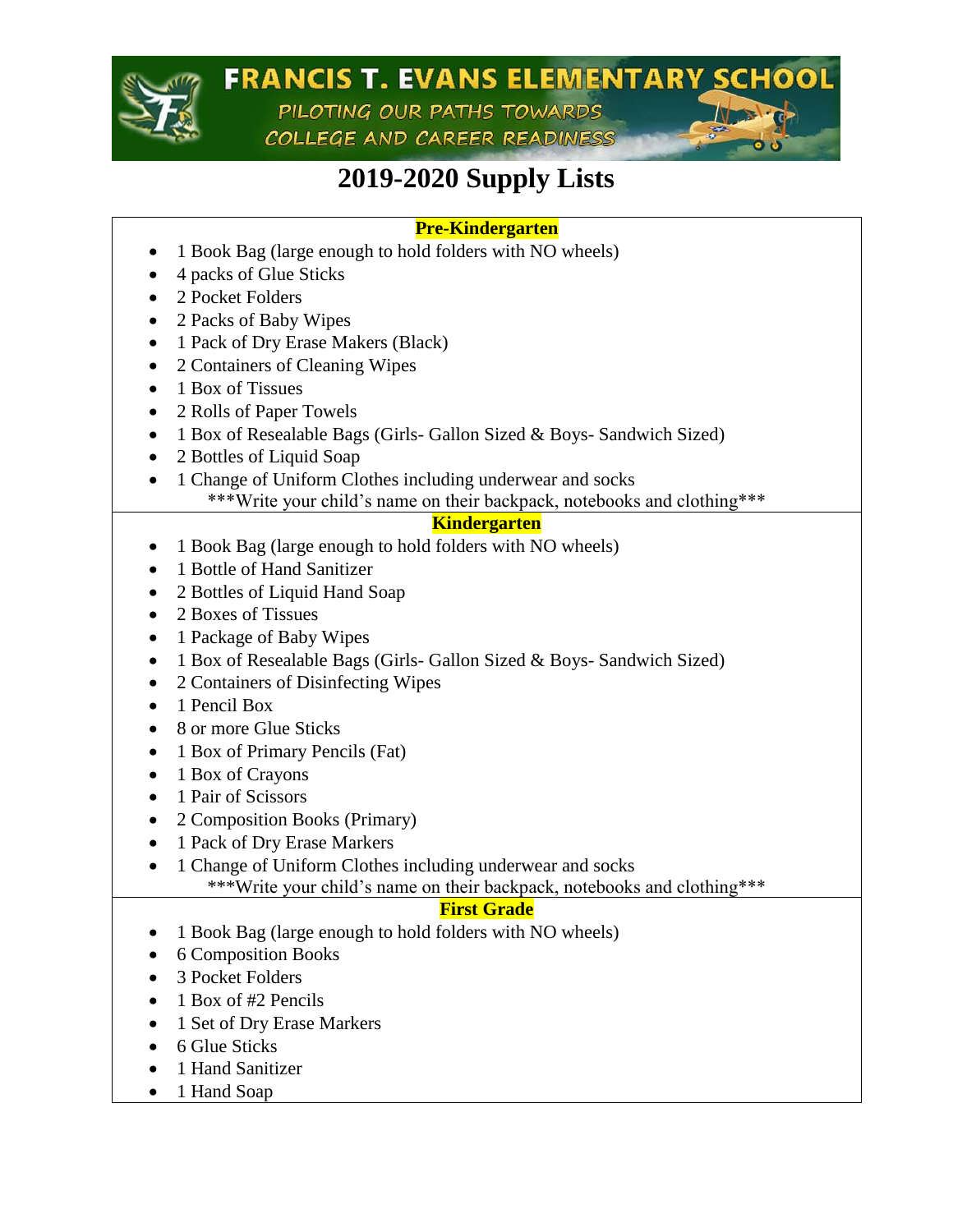

### **FRANCIS T. EVANS ELEMENTARY SCHOOL** PILOTING OUR PATHS TOWARDS

COLLEGE AND CAREER READINESS

## **2019-2020 Supply Lists**

#### **Pre-Kindergarten**

- 1 Book Bag (large enough to hold folders with NO wheels)
- 4 packs of Glue Sticks
- 2 Pocket Folders
- 2 Packs of Baby Wipes
- 1 Pack of Dry Erase Makers (Black)
- 2 Containers of Cleaning Wipes
- 1 Box of Tissues
- 2 Rolls of Paper Towels
- 1 Box of Resealable Bags (Girls- Gallon Sized & Boys- Sandwich Sized)
- 2 Bottles of Liquid Soap
- 1 Change of Uniform Clothes including underwear and socks \*\*\*Write your child's name on their backpack, notebooks and clothing\*\*\*

#### **Kindergarten**

- 1 Book Bag (large enough to hold folders with NO wheels)
- 1 Bottle of Hand Sanitizer
- 2 Bottles of Liquid Hand Soap
- 2 Boxes of Tissues
- 1 Package of Baby Wipes
- 1 Box of Resealable Bags (Girls- Gallon Sized & Boys- Sandwich Sized)
- 2 Containers of Disinfecting Wipes
- 1 Pencil Box
- 8 or more Glue Sticks
- 1 Box of Primary Pencils (Fat)
- 1 Box of Crayons
- 1 Pair of Scissors
- 2 Composition Books (Primary)
- 1 Pack of Dry Erase Markers
- 1 Change of Uniform Clothes including underwear and socks

\*\*\*Write your child's name on their backpack, notebooks and clothing\*\*\*

#### **First Grade**

- 1 Book Bag (large enough to hold folders with NO wheels)
- 6 Composition Books
- 3 Pocket Folders
- 1 Box of #2 Pencils
- 1 Set of Dry Erase Markers
- 6 Glue Sticks
- 1 Hand Sanitizer
- 1 Hand Soap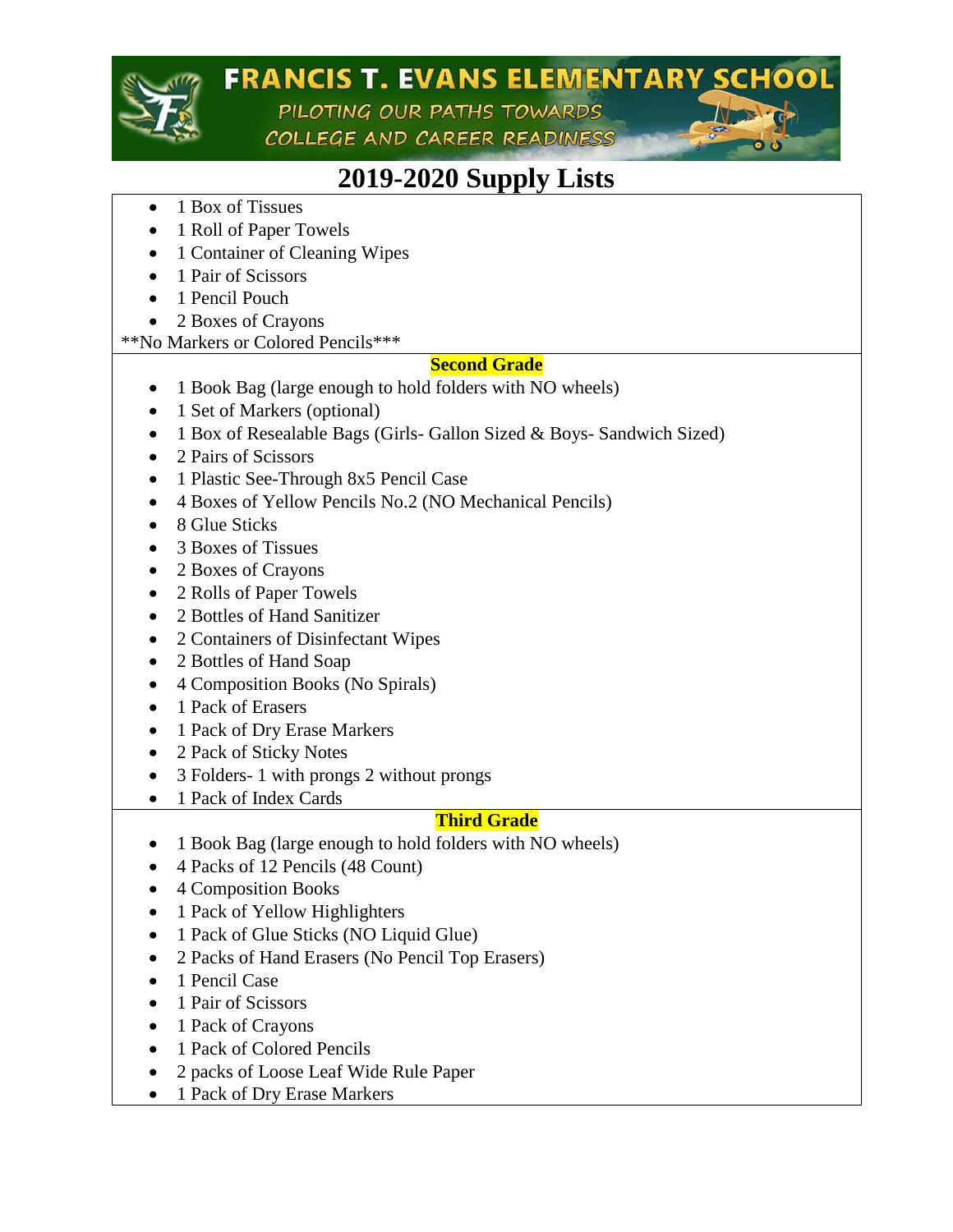

## **FRANCIS T. EVANS ELEMENTARY SCHOOL**

PILOTING OUR PATHS TOWARDS COLLEGE AND CAREER READINESS



- 1 Box of Tissues
- 1 Roll of Paper Towels
- 1 Container of Cleaning Wipes
- 1 Pair of Scissors
- 1 Pencil Pouch
- 2 Boxes of Crayons

\*\*No Markers or Colored Pencils\*\*\*

#### **Second Grade**

- 1 Book Bag (large enough to hold folders with NO wheels)
- 1 Set of Markers (optional)
- 1 Box of Resealable Bags (Girls- Gallon Sized & Boys- Sandwich Sized)
- 2 Pairs of Scissors
- 1 Plastic See-Through 8x5 Pencil Case
- 4 Boxes of Yellow Pencils No.2 (NO Mechanical Pencils)
- 8 Glue Sticks
- 3 Boxes of Tissues
- 2 Boxes of Crayons
- 2 Rolls of Paper Towels
- 2 Bottles of Hand Sanitizer
- 2 Containers of Disinfectant Wipes
- 2 Bottles of Hand Soap
- 4 Composition Books (No Spirals)
- 1 Pack of Erasers
- 1 Pack of Dry Erase Markers
- 2 Pack of Sticky Notes
- 3 Folders- 1 with prongs 2 without prongs
- 1 Pack of Index Cards

#### **Third Grade**

- 1 Book Bag (large enough to hold folders with NO wheels)
- 4 Packs of 12 Pencils (48 Count)
- 4 Composition Books
- 1 Pack of Yellow Highlighters
- 1 Pack of Glue Sticks (NO Liquid Glue)
- 2 Packs of Hand Erasers (No Pencil Top Erasers)
- 1 Pencil Case
- 1 Pair of Scissors
- 1 Pack of Crayons
- 1 Pack of Colored Pencils
- 2 packs of Loose Leaf Wide Rule Paper
- 1 Pack of Dry Erase Markers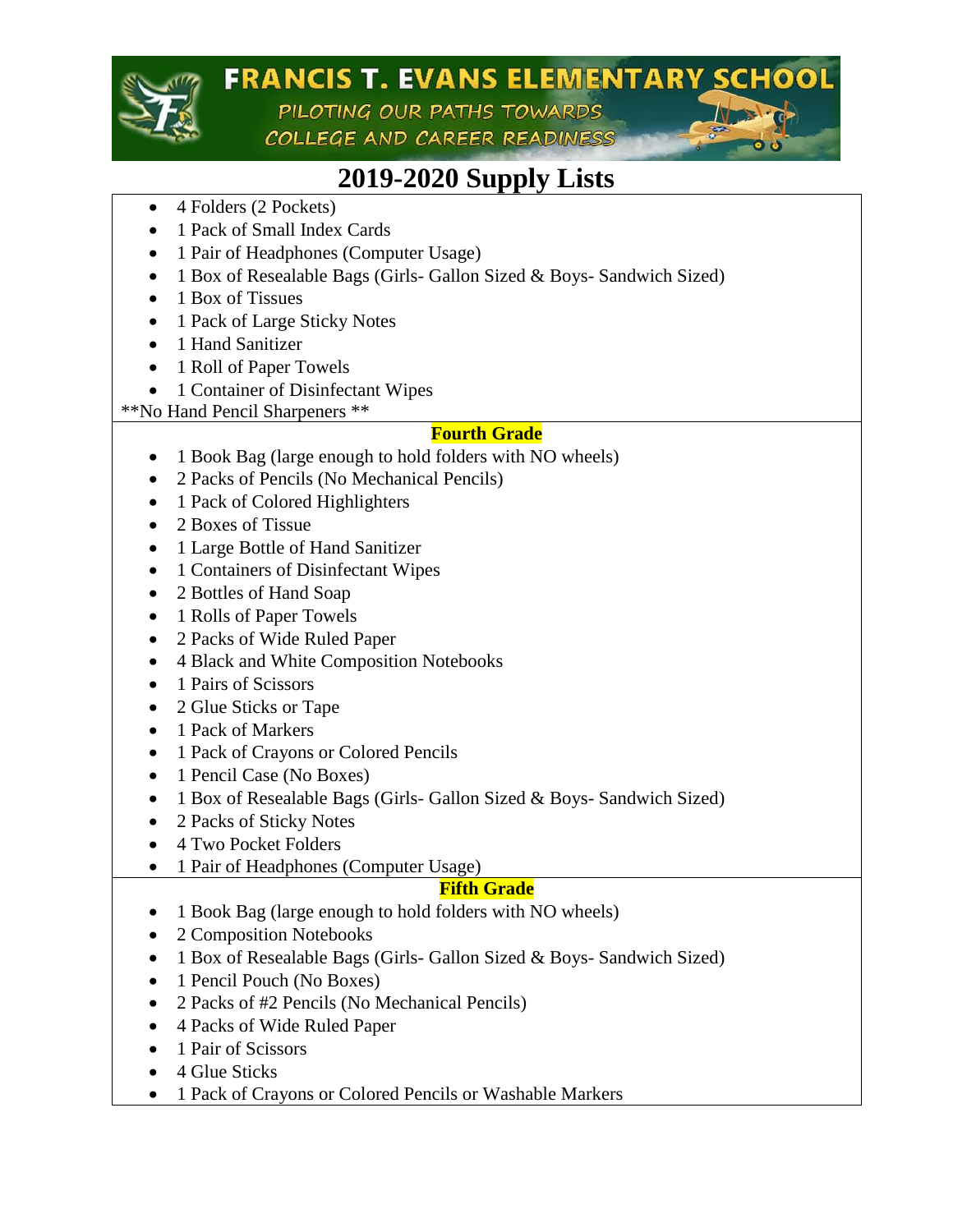

# **FRANCIS T. EVANS ELEMENTARY SCHOOL**

PILOTING OUR PATHS TOWARDS COLLEGE AND CAREER READINESS



- 4 Folders (2 Pockets)
- 1 Pack of Small Index Cards
- 1 Pair of Headphones (Computer Usage)
- 1 Box of Resealable Bags (Girls- Gallon Sized & Boys- Sandwich Sized)
- 1 Box of Tissues
- 1 Pack of Large Sticky Notes
- 1 Hand Sanitizer
- 1 Roll of Paper Towels
- 1 Container of Disinfectant Wipes

\*\*No Hand Pencil Sharpeners \*\*

#### **Fourth Grade**

- 1 Book Bag (large enough to hold folders with NO wheels)
- 2 Packs of Pencils (No Mechanical Pencils)
- 1 Pack of Colored Highlighters
- 2 Boxes of Tissue
- 1 Large Bottle of Hand Sanitizer
- 1 Containers of Disinfectant Wipes
- 2 Bottles of Hand Soap
- 1 Rolls of Paper Towels
- 2 Packs of Wide Ruled Paper
- 4 Black and White Composition Notebooks
- 1 Pairs of Scissors
- 2 Glue Sticks or Tape
- 1 Pack of Markers
- 1 Pack of Crayons or Colored Pencils
- 1 Pencil Case (No Boxes)
- 1 Box of Resealable Bags (Girls- Gallon Sized & Boys- Sandwich Sized)
- 2 Packs of Sticky Notes
- 4 Two Pocket Folders
- 1 Pair of Headphones (Computer Usage)

#### **Fifth Grade**

- 1 Book Bag (large enough to hold folders with NO wheels)
- 2 Composition Notebooks
- 1 Box of Resealable Bags (Girls- Gallon Sized & Boys- Sandwich Sized)
- 1 Pencil Pouch (No Boxes)
- 2 Packs of #2 Pencils (No Mechanical Pencils)
- 4 Packs of Wide Ruled Paper
- 1 Pair of Scissors
- 4 Glue Sticks
- 1 Pack of Crayons or Colored Pencils or Washable Markers